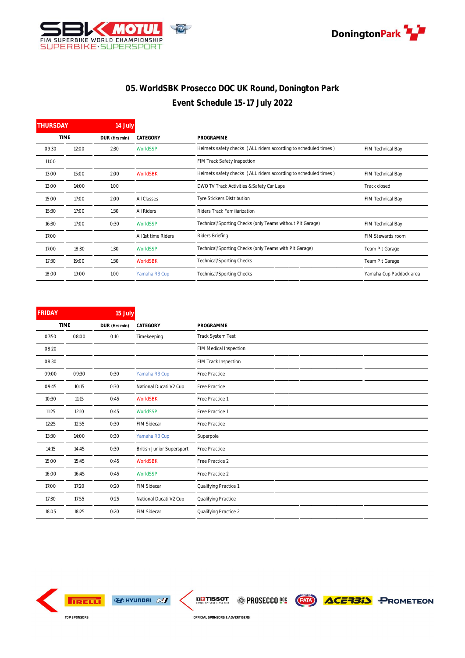



## **05. WorldSBK Prosecco DOC UK Round, Donington Park Event Schedule 15-17 July 2022**

| <b>THURSDAY</b><br>14 July |       |               |                     |                                                                 |                         |  |  |  |
|----------------------------|-------|---------------|---------------------|-----------------------------------------------------------------|-------------------------|--|--|--|
| <b>TIME</b>                |       | DUR (Hrs:min) | CATEGORY            | PROGRAMME                                                       |                         |  |  |  |
| 09:30                      | 12:00 | 2:30          | WorldSSP            | Helmets safety checks (ALL riders according to scheduled times) | FIM Technical Bay       |  |  |  |
| 11:00                      |       |               |                     | FIM Track Safety Inspection                                     |                         |  |  |  |
| 13:00                      | 15:00 | 2:00          | WorldSBK            | Helmets safety checks (ALL riders according to scheduled times) | FIM Technical Bay       |  |  |  |
| 13:00                      | 14:00 | 1:00          |                     | DWO TV Track Activities & Safety Car Laps                       | Track closed            |  |  |  |
| 15:00                      | 17:00 | 2:00          | All Classes         | Tyre Stickers Distribution                                      | FIM Technical Bay       |  |  |  |
| 15:30                      | 17:00 | 1:30          | All Riders          | Riders Track Familiarization                                    |                         |  |  |  |
| 16:30                      | 17:00 | 0:30          | WorldSSP            | Technical/Sporting Checks (only Teams without Pit Garage)       | FIM Technical Bay       |  |  |  |
| 17:00                      |       |               | All 1st time Riders | Riders Briefing                                                 | FIM Stewards room       |  |  |  |
| 17:00                      | 18:30 | 1:30          | WorldSSP            | Technical/Sporting Checks (only Teams with Pit Garage)          | Team Pit Garage         |  |  |  |
| 17:30                      | 19:00 | 1:30          | WorldSBK            | Technical/Sporting Checks                                       | Team Pit Garage         |  |  |  |
| 18:00                      | 19:00 | 1:00          | Yamaha R3 Cup       | Technical/Sporting Checks                                       | Yamaha Cup Paddock area |  |  |  |

| <b>FRIDAY</b> |       | 15 July       |                           |                        |
|---------------|-------|---------------|---------------------------|------------------------|
| <b>TIME</b>   |       | DUR (Hrs:min) | CATEGORY                  | PROGRAMME              |
| 07:50         | 08:00 | O:10          | Timekeeping               | Track System Test      |
| 08:20         |       |               |                           | FIM Medical Inspection |
| 08:30         |       |               |                           | FIM Track Inspection   |
| 09:00         | 09:30 | 0:30          | Yamaha R3 Cup             | Free Practice          |
| 09:45         | 10:15 | 0:30          | National Ducati V2 Cup    | Free Practice          |
| 10:30         | 11:15 | O:45          | WorldSBK                  | Free Practice 1        |
| 11:25         | 12:10 | O:45          | WorldSSP                  | Free Practice 1        |
| 12:25         | 12:55 | O:3O          | FIM Sidecar               | Free Practice          |
| 13:30         | 14:00 | O:3O          | Yamaha R3 Cup             | Superpole              |
| 14:15         | 14:45 | O:3O          | British Junior Supersport | Free Practice          |
| 15:00         | 15:45 | O:45          | WorldSBK                  | Free Practice 2        |
| 16:00         | 16:45 | O:45          | WorldSSP                  | Free Practice 2        |
| 17:00         | 17:20 | 0:20          | FIM Sidecar               | Qualifying Practice 1  |
| 17:30         | 17:55 | O:25          | National Ducati V2 Cup    | Qualifying Practice    |
| 18:05         | 18:25 | 0:20          | FIM Sidecar               | Qualifying Practice 2  |



 $\bigcirc$  HYLINDAI  $\bigcirc$ 

**THE TISSOT PROSECCO DE (END) ACERBIA PROMETEON** 

OFFICIAL SPONSORS & ADVERTISERS